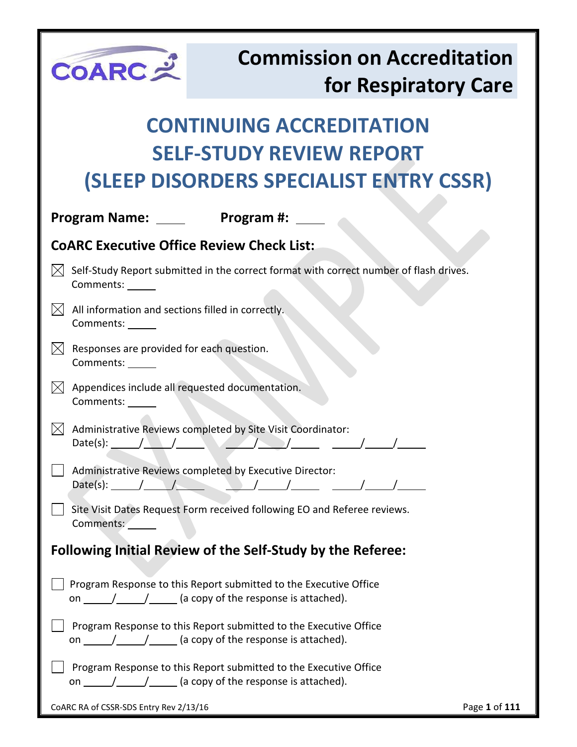| COARC                                                                 | <b>Commission on Accreditation</b><br>for Respiratory Care                                                                                                                                                                                                                                                                                                                                                                                                                               |  |
|-----------------------------------------------------------------------|------------------------------------------------------------------------------------------------------------------------------------------------------------------------------------------------------------------------------------------------------------------------------------------------------------------------------------------------------------------------------------------------------------------------------------------------------------------------------------------|--|
|                                                                       | <b>CONTINUING ACCREDITATION</b>                                                                                                                                                                                                                                                                                                                                                                                                                                                          |  |
|                                                                       | <b>SELF-STUDY REVIEW REPORT</b>                                                                                                                                                                                                                                                                                                                                                                                                                                                          |  |
|                                                                       | (SLEEP DISORDERS SPECIALIST ENTRY CSSR)                                                                                                                                                                                                                                                                                                                                                                                                                                                  |  |
| Program Name: ____                                                    | Program #:                                                                                                                                                                                                                                                                                                                                                                                                                                                                               |  |
| <b>COARC Executive Office Review Check List:</b>                      |                                                                                                                                                                                                                                                                                                                                                                                                                                                                                          |  |
| Comments:                                                             | Self-Study Report submitted in the correct format with correct number of flash drives.                                                                                                                                                                                                                                                                                                                                                                                                   |  |
| All information and sections filled in correctly.<br>Comments: ______ |                                                                                                                                                                                                                                                                                                                                                                                                                                                                                          |  |
| Responses are provided for each question.<br>Comments: ______         |                                                                                                                                                                                                                                                                                                                                                                                                                                                                                          |  |
| Appendices include all requested documentation.<br>Comments:          |                                                                                                                                                                                                                                                                                                                                                                                                                                                                                          |  |
| Date(s): $\sqrt{2\pi}$                                                | Administrative Reviews completed by Site Visit Coordinator:                                                                                                                                                                                                                                                                                                                                                                                                                              |  |
| Date(s): $/$                                                          | Administrative Reviews completed by Executive Director:                                                                                                                                                                                                                                                                                                                                                                                                                                  |  |
| Comments:                                                             | Site Visit Dates Request Form received following EO and Referee reviews.                                                                                                                                                                                                                                                                                                                                                                                                                 |  |
|                                                                       | <b>Following Initial Review of the Self-Study by the Referee:</b>                                                                                                                                                                                                                                                                                                                                                                                                                        |  |
|                                                                       | Program Response to this Report submitted to the Executive Office<br>on $\frac{1}{\sqrt{1-\frac{1}{1-\frac{1}{1-\frac{1}{1-\frac{1}{1-\frac{1}{1-\frac{1}{1-\frac{1}{1-\frac{1}{1-\frac{1}{1-\frac{1}{1-\frac{1}{1-\frac{1}{1-\frac{1}{1-\frac{1}{1-\frac{1}{1-\frac{1}{1-\frac{1}{1-\frac{1}{1-\frac{1}{1-\frac{1}{1-\frac{1}{1-\frac{1}{1-\frac{1}{1-\frac{1}{1-\frac{1}{1-\frac{1}{1-\frac{1}{1-\frac{1}{1-\frac{1}{1-\frac{1}{1-\frac{1}{1-\frac{1}{1-\frac{1}{1-\frac{1}{1-\frac{1$ |  |
|                                                                       | Program Response to this Report submitted to the Executive Office<br>on $\frac{1}{\sqrt{1-\frac{1}{1-\frac{1}{1-\frac{1}{1-\frac{1}{1-\frac{1}{1-\frac{1}{1-\frac{1}{1-\frac{1}{1-\frac{1}{1-\frac{1}{1-\frac{1}{1-\frac{1}{1-\frac{1}{1-\frac{1}{1-\frac{1}{1-\frac{1}{1-\frac{1}{1-\frac{1}{1-\frac{1}{1-\frac{1}{1-\frac{1}{1-\frac{1}{1-\frac{1}{1-\frac{1}{1-\frac{1}{1-\frac{1}{1-\frac{1}{1-\frac{1}{1-\frac{1}{1-\frac{1}{1-\frac{1}{1-\frac{1}{1-\frac{1}{1-\frac{1}{1-\frac{1$ |  |
|                                                                       | Program Response to this Report submitted to the Executive Office                                                                                                                                                                                                                                                                                                                                                                                                                        |  |
| CoARC RA of CSSR-SDS Entry Rev 2/13/16                                | Page 1 of 111                                                                                                                                                                                                                                                                                                                                                                                                                                                                            |  |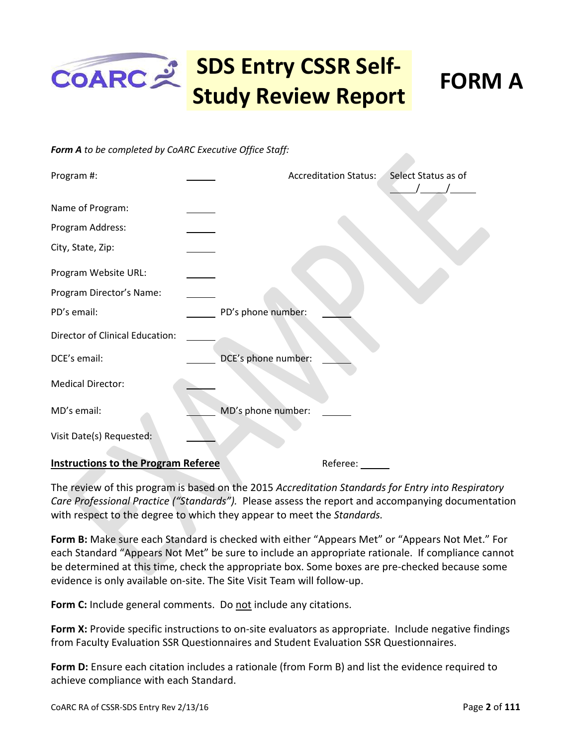# **SDS Entry CSSR Self-Study Review Report FORM A**

#### *Form A to be completed by CoARC Executive Office Staff:*

| Program #:                                 |                     | <b>Accreditation Status:</b> | Select Status as of |
|--------------------------------------------|---------------------|------------------------------|---------------------|
| Name of Program:                           |                     |                              |                     |
| Program Address:                           |                     |                              |                     |
| City, State, Zip:                          |                     |                              |                     |
| Program Website URL:                       |                     |                              |                     |
| Program Director's Name:                   |                     |                              |                     |
| PD's email:                                | PD's phone number:  |                              |                     |
| <b>Director of Clinical Education:</b>     |                     |                              |                     |
| DCE's email:                               | DCE's phone number: |                              |                     |
| <b>Medical Director:</b>                   |                     |                              |                     |
| MD's email:                                | MD's phone number:  |                              |                     |
| Visit Date(s) Requested:                   |                     |                              |                     |
| <b>Instructions to the Program Referee</b> |                     | Referee:                     |                     |

The review of this program is based on the 2015 *Accreditation Standards for Entry into Respiratory Care Professional Practice ("Standards").* Please assess the report and accompanying documentation with respect to the degree to which they appear to meet the *Standards.* 

**Form B:** Make sure each Standard is checked with either "Appears Met" or "Appears Not Met." For each Standard "Appears Not Met" be sure to include an appropriate rationale. If compliance cannot be determined at this time, check the appropriate box. Some boxes are pre-checked because some evidence is only available on-site. The Site Visit Team will follow-up.

**Form C:** Include general comments. Do not include any citations.

**Form X:** Provide specific instructions to on-site evaluators as appropriate. Include negative findings from Faculty Evaluation SSR Questionnaires and Student Evaluation SSR Questionnaires.

**Form D:** Ensure each citation includes a rationale (from Form B) and list the evidence required to achieve compliance with each Standard.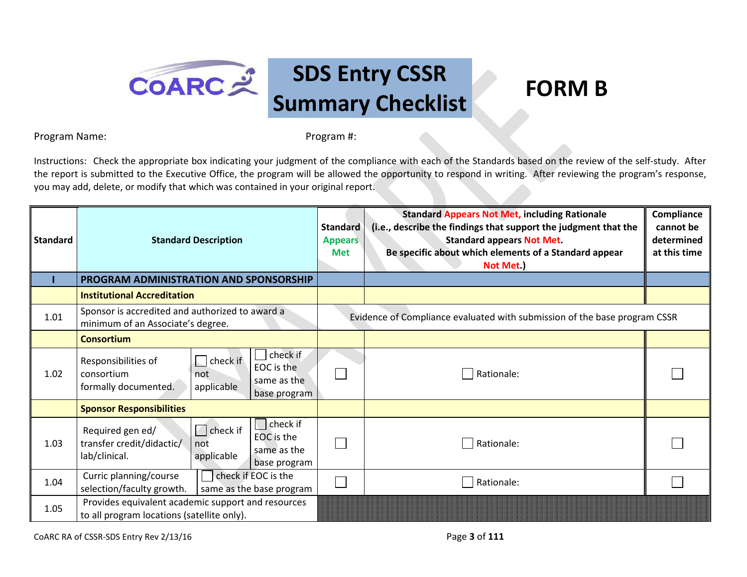

Program Name: Program #:

Instructions: Check the appropriate box indicating your judgment of the compliance with each of the Standards based on the review of the self-study. After the report is submitted to the Executive Office, the program will be allowed the opportunity to respond in writing. After reviewing the program's response, you may add, delete, or modify that which was contained in your original report.

| Standard | <b>Standard Description</b>                                                                                                                                       | <b>Standard</b><br><b>Appears</b><br><b>Met</b> | <b>Standard Appears Not Met, including Rationale</b><br>(i.e., describe the findings that support the judgment that the<br><b>Standard appears Not Met.</b><br>Be specific about which elements of a Standard appear<br>Not Met.) | Compliance<br>cannot be<br>determined<br>at this time |
|----------|-------------------------------------------------------------------------------------------------------------------------------------------------------------------|-------------------------------------------------|-----------------------------------------------------------------------------------------------------------------------------------------------------------------------------------------------------------------------------------|-------------------------------------------------------|
|          | PROGRAM ADMINISTRATION AND SPONSORSHIP                                                                                                                            |                                                 |                                                                                                                                                                                                                                   |                                                       |
|          | <b>Institutional Accreditation</b>                                                                                                                                |                                                 |                                                                                                                                                                                                                                   |                                                       |
| 1.01     | Sponsor is accredited and authorized to award a<br>minimum of an Associate's degree.                                                                              |                                                 | Evidence of Compliance evaluated with submission of the base program CSSR                                                                                                                                                         |                                                       |
|          | <b>Consortium</b>                                                                                                                                                 |                                                 |                                                                                                                                                                                                                                   |                                                       |
| 1.02     | check if<br>$\vert \vert$ check if<br>Responsibilities of<br>EOC is the<br>consortium<br>not<br>same as the<br>formally documented.<br>applicable<br>base program |                                                 | Rationale:                                                                                                                                                                                                                        |                                                       |
|          | <b>Sponsor Responsibilities</b>                                                                                                                                   |                                                 |                                                                                                                                                                                                                                   |                                                       |
| 1.03     | check if<br>$\Box$ check if<br>Required gen ed/<br>EOC is the<br>transfer credit/didactic/<br>not<br>same as the<br>lab/clinical.<br>applicable<br>base program   |                                                 | Rationale:                                                                                                                                                                                                                        |                                                       |
| 1.04     | check if EOC is the<br>Curric planning/course<br>selection/faculty growth.<br>same as the base program                                                            |                                                 | Rationale:                                                                                                                                                                                                                        |                                                       |
| 1.05     | Provides equivalent academic support and resources<br>to all program locations (satellite only).                                                                  |                                                 |                                                                                                                                                                                                                                   |                                                       |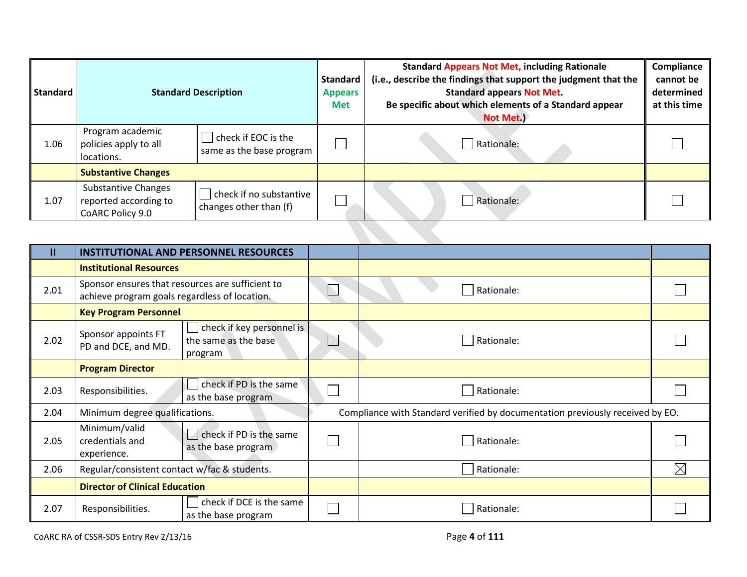| <b>Standard</b> | <b>Standard Description</b>                                             |                                                   | <b>Standard</b><br><b>Appears</b><br><b>Met</b> | <b>Standard Appears Not Met, including Rationale</b><br>(i.e., describe the findings that support the judgment that the<br><b>Standard appears Not Met.</b><br>Be specific about which elements of a Standard appear<br>Not Met.) | Compliance<br>cannot be<br>determined<br>at this time |
|-----------------|-------------------------------------------------------------------------|---------------------------------------------------|-------------------------------------------------|-----------------------------------------------------------------------------------------------------------------------------------------------------------------------------------------------------------------------------------|-------------------------------------------------------|
| 1.06            | Program academic<br>policies apply to all<br>locations.                 | check if EOC is the<br>same as the base program   |                                                 | Rationale:                                                                                                                                                                                                                        |                                                       |
|                 | <b>Substantive Changes</b>                                              |                                                   |                                                 |                                                                                                                                                                                                                                   |                                                       |
| 1.07            | <b>Substantive Changes</b><br>reported according to<br>CoARC Policy 9.0 | check if no substantive<br>changes other than (f) |                                                 | Rationale:                                                                                                                                                                                                                        |                                                       |
|                 |                                                                         |                                                   |                                                 |                                                                                                                                                                                                                                   |                                                       |

| Ш    |                                                 | <b>INSTITUTIONAL AND PERSONNEL RESOURCES</b>                       |  |                                                                               |             |  |
|------|-------------------------------------------------|--------------------------------------------------------------------|--|-------------------------------------------------------------------------------|-------------|--|
|      |                                                 | <b>Institutional Resources</b>                                     |  |                                                                               |             |  |
| 2.01 | achieve program goals regardless of location.   | Sponsor ensures that resources are sufficient to                   |  | Rationale:                                                                    |             |  |
|      | <b>Key Program Personnel</b>                    |                                                                    |  |                                                                               |             |  |
| 2.02 | Sponsor appoints FT<br>PD and DCE, and MD.      | check if key personnel is<br>the same as the base<br>program       |  | Rationale:                                                                    |             |  |
|      | <b>Program Director</b>                         |                                                                    |  |                                                                               |             |  |
| 2.03 | Responsibilities.                               | check if PD is the same<br>as the base program                     |  | Rationale:                                                                    |             |  |
| 2.04 | Minimum degree qualifications.                  |                                                                    |  | Compliance with Standard verified by documentation previously received by EO. |             |  |
| 2.05 | Minimum/valid<br>credentials and<br>experience. | $\vert \cdot \vert$ check if PD is the same<br>as the base program |  | Rationale:                                                                    |             |  |
| 2.06 | Regular/consistent contact w/fac & students.    |                                                                    |  | Rationale:                                                                    | $\boxtimes$ |  |
|      | <b>Director of Clinical Education</b>           |                                                                    |  |                                                                               |             |  |
| 2.07 | Responsibilities.                               | check if DCE is the same<br>as the base program                    |  | Rationale:                                                                    |             |  |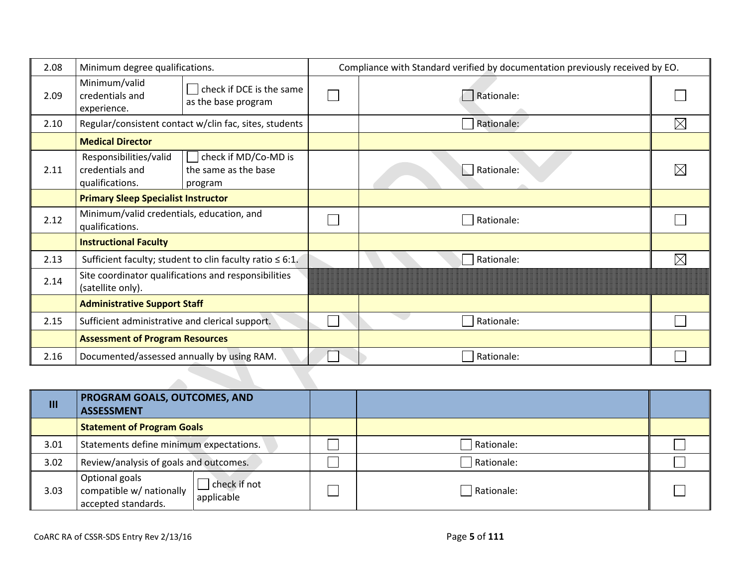| 2.08 | Minimum degree qualifications.                               |                                                                | Compliance with Standard verified by documentation previously received by EO. |             |  |
|------|--------------------------------------------------------------|----------------------------------------------------------------|-------------------------------------------------------------------------------|-------------|--|
| 2.09 | Minimum/valid<br>credentials and<br>experience.              | check if DCE is the same<br>as the base program                | Rationale:                                                                    |             |  |
| 2.10 |                                                              | Regular/consistent contact w/clin fac, sites, students         | Rationale:                                                                    | $\boxtimes$ |  |
|      | <b>Medical Director</b>                                      |                                                                |                                                                               |             |  |
| 2.11 | Responsibilities/valid<br>credentials and<br>qualifications. | check if MD/Co-MD is<br>the same as the base<br>program        | Rationale:                                                                    |             |  |
|      | <b>Primary Sleep Specialist Instructor</b>                   |                                                                |                                                                               |             |  |
| 2.12 | Minimum/valid credentials, education, and<br>qualifications. |                                                                | Rationale:                                                                    |             |  |
|      | <b>Instructional Faculty</b>                                 |                                                                |                                                                               |             |  |
| 2.13 |                                                              | Sufficient faculty; student to clin faculty ratio $\leq 6:1$ . | Rationale:                                                                    |             |  |
| 2.14 | (satellite only).                                            | Site coordinator qualifications and responsibilities           |                                                                               |             |  |
|      | <b>Administrative Support Staff</b>                          |                                                                |                                                                               |             |  |
| 2.15 | Sufficient administrative and clerical support.              |                                                                | Rationale:                                                                    |             |  |
|      | <b>Assessment of Program Resources</b>                       |                                                                |                                                                               |             |  |
| 2.16 | Documented/assessed annually by using RAM.                   |                                                                | Rationale:                                                                    |             |  |

| $\mathbf{m}$ | PROGRAM GOALS, OUTCOMES, AND<br><b>ASSESSMENT</b>                 |                            |            |  |
|--------------|-------------------------------------------------------------------|----------------------------|------------|--|
|              | <b>Statement of Program Goals</b>                                 |                            |            |  |
| 3.01         | Statements define minimum expectations.                           |                            | Rationale: |  |
| 3.02         | Review/analysis of goals and outcomes.                            |                            | Rationale: |  |
| 3.03         | Optional goals<br>compatible w/ nationally<br>accepted standards. | check if not<br>applicable | Rationale: |  |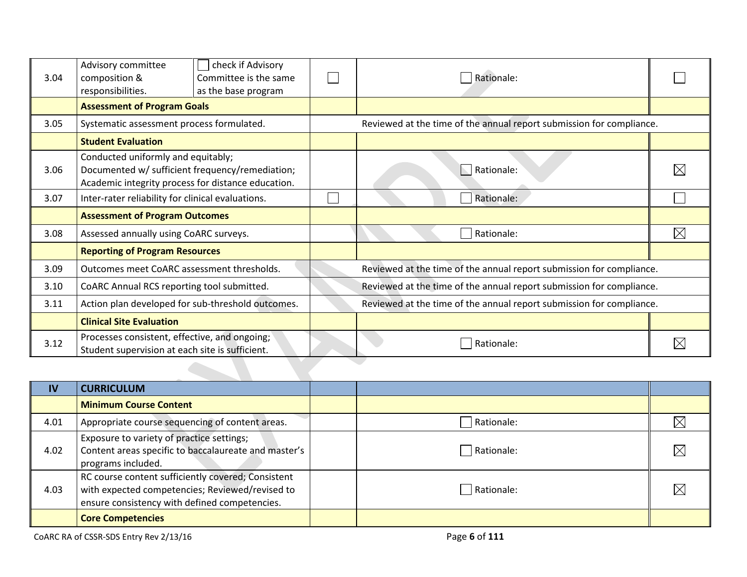| 3.04 | Advisory committee<br>composition &<br>responsibilities.                                                                                    | check if Advisory<br>Committee is the same<br>as the base program | Rationale:                                                           |  |  |
|------|---------------------------------------------------------------------------------------------------------------------------------------------|-------------------------------------------------------------------|----------------------------------------------------------------------|--|--|
|      | <b>Assessment of Program Goals</b>                                                                                                          |                                                                   |                                                                      |  |  |
| 3.05 | Systematic assessment process formulated.                                                                                                   |                                                                   | Reviewed at the time of the annual report submission for compliance. |  |  |
|      | <b>Student Evaluation</b>                                                                                                                   |                                                                   |                                                                      |  |  |
| 3.06 | Conducted uniformly and equitably;<br>Documented w/ sufficient frequency/remediation;<br>Academic integrity process for distance education. |                                                                   | Rationale:                                                           |  |  |
| 3.07 | Inter-rater reliability for clinical evaluations.                                                                                           |                                                                   | Rationale:                                                           |  |  |
|      | <b>Assessment of Program Outcomes</b>                                                                                                       |                                                                   |                                                                      |  |  |
| 3.08 | Assessed annually using CoARC surveys.                                                                                                      |                                                                   | Rationale:                                                           |  |  |
|      | <b>Reporting of Program Resources</b>                                                                                                       |                                                                   |                                                                      |  |  |
| 3.09 | Outcomes meet CoARC assessment thresholds.                                                                                                  |                                                                   | Reviewed at the time of the annual report submission for compliance. |  |  |
| 3.10 | CoARC Annual RCS reporting tool submitted.                                                                                                  |                                                                   | Reviewed at the time of the annual report submission for compliance. |  |  |
| 3.11 | Action plan developed for sub-threshold outcomes.                                                                                           |                                                                   | Reviewed at the time of the annual report submission for compliance. |  |  |
|      | <b>Clinical Site Evaluation</b>                                                                                                             |                                                                   |                                                                      |  |  |
| 3.12 | Processes consistent, effective, and ongoing;<br>Student supervision at each site is sufficient.                                            |                                                                   | Rationale:                                                           |  |  |
|      |                                                                                                                                             |                                                                   |                                                                      |  |  |

| IV   | <b>CURRICULUM</b>                                                                                                                                      |            |             |
|------|--------------------------------------------------------------------------------------------------------------------------------------------------------|------------|-------------|
|      | <b>Minimum Course Content</b>                                                                                                                          |            |             |
| 4.01 | Appropriate course sequencing of content areas.                                                                                                        | Rationale: | $\boxtimes$ |
| 4.02 | Exposure to variety of practice settings;<br>Content areas specific to baccalaureate and master's<br>programs included.                                | Rationale: | $\boxtimes$ |
| 4.03 | RC course content sufficiently covered; Consistent<br>with expected competencies; Reviewed/revised to<br>ensure consistency with defined competencies. | Rationale: | $\boxtimes$ |
|      | <b>Core Competencies</b>                                                                                                                               |            |             |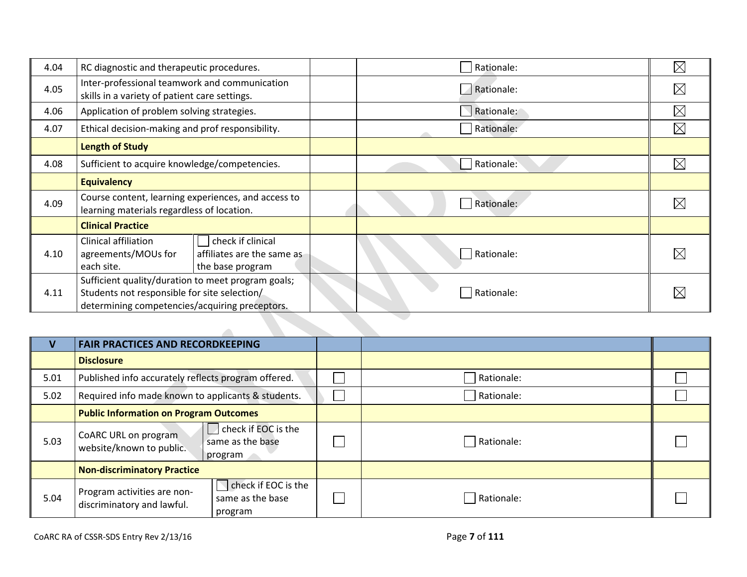| 4.04 | RC diagnostic and therapeutic procedures.                                                                                                            |                                                                     | Rationale: | $\times$    |
|------|------------------------------------------------------------------------------------------------------------------------------------------------------|---------------------------------------------------------------------|------------|-------------|
| 4.05 | Inter-professional teamwork and communication<br>skills in a variety of patient care settings.                                                       |                                                                     | Rationale: | $\times$    |
| 4.06 | Application of problem solving strategies.                                                                                                           |                                                                     | Rationale: | $\boxtimes$ |
| 4.07 | Ethical decision-making and prof responsibility.                                                                                                     |                                                                     | Rationale: | $\boxtimes$ |
|      | <b>Length of Study</b>                                                                                                                               |                                                                     |            |             |
| 4.08 | Sufficient to acquire knowledge/competencies.                                                                                                        |                                                                     | Rationale: | $\times$    |
|      | <b>Equivalency</b>                                                                                                                                   |                                                                     |            |             |
| 4.09 | Course content, learning experiences, and access to<br>learning materials regardless of location.                                                    |                                                                     | Rationale: |             |
|      | <b>Clinical Practice</b>                                                                                                                             |                                                                     |            |             |
| 4.10 | Clinical affiliation<br>agreements/MOUs for<br>each site.                                                                                            | check if clinical<br>affiliates are the same as<br>the base program | Rationale: |             |
| 4.11 | Sufficient quality/duration to meet program goals;<br>Students not responsible for site selection/<br>determining competencies/acquiring preceptors. |                                                                     | Rationale: |             |
|      |                                                                                                                                                      |                                                                     |            |             |

|      | <b>FAIR PRACTICES AND RECORDKEEPING</b>                                                                         |  |                   |  |
|------|-----------------------------------------------------------------------------------------------------------------|--|-------------------|--|
|      | <b>Disclosure</b>                                                                                               |  |                   |  |
| 5.01 | Published info accurately reflects program offered.                                                             |  | <b>Rationale:</b> |  |
| 5.02 | Required info made known to applicants & students.                                                              |  | Rationale:        |  |
|      | <b>Public Information on Program Outcomes</b>                                                                   |  |                   |  |
| 5.03 | check if EOC is the<br>CoARC URL on program<br>same as the base<br>website/known to public.<br>  program        |  | Rationale:        |  |
|      | <b>Non-discriminatory Practice</b>                                                                              |  |                   |  |
| 5.04 | check if EOC is the<br>Program activities are non-<br>same as the base<br>discriminatory and lawful.<br>program |  | Rationale:        |  |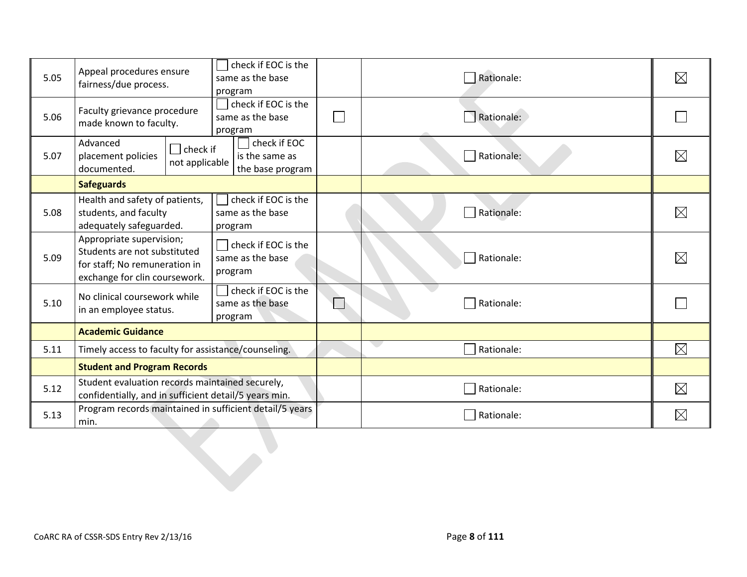| 5.05 | Appeal procedures ensure<br>fairness/due process.                                                                          | check if EOC is the<br>same as the base<br>program        | Rationale:        | $\boxtimes$ |
|------|----------------------------------------------------------------------------------------------------------------------------|-----------------------------------------------------------|-------------------|-------------|
| 5.06 | Faculty grievance procedure<br>made known to faculty.                                                                      | check if EOC is the<br>same as the base<br>program        | Rationale:        |             |
| 5.07 | Advanced<br>$\Box$ check if<br>placement policies<br>not applicable<br>documented.                                         | $\Box$ check if EOC<br>is the same as<br>the base program | Rationale:        | $\boxtimes$ |
|      | <b>Safeguards</b>                                                                                                          |                                                           |                   |             |
| 5.08 | Health and safety of patients,<br>students, and faculty<br>adequately safeguarded.                                         | check if EOC is the<br>same as the base<br>program        | Rationale:        | $\boxtimes$ |
| 5.09 | Appropriate supervision;<br>Students are not substituted<br>for staff; No remuneration in<br>exchange for clin coursework. | check if EOC is the<br>same as the base<br>program        | Rationale:        | $\boxtimes$ |
| 5.10 | No clinical coursework while<br>in an employee status.                                                                     | check if EOC is the<br>same as the base<br>program        | Rationale:        |             |
|      | <b>Academic Guidance</b>                                                                                                   |                                                           |                   |             |
| 5.11 | Timely access to faculty for assistance/counseling.                                                                        |                                                           | e i<br>Rationale: | $\boxtimes$ |
|      | <b>Student and Program Records</b>                                                                                         |                                                           |                   |             |
| 5.12 | Student evaluation records maintained securely,<br>confidentially, and in sufficient detail/5 years min.                   |                                                           | Rationale:        | $\boxtimes$ |
| 5.13 | Program records maintained in sufficient detail/5 years<br>min.                                                            |                                                           | Rationale:        | $\boxtimes$ |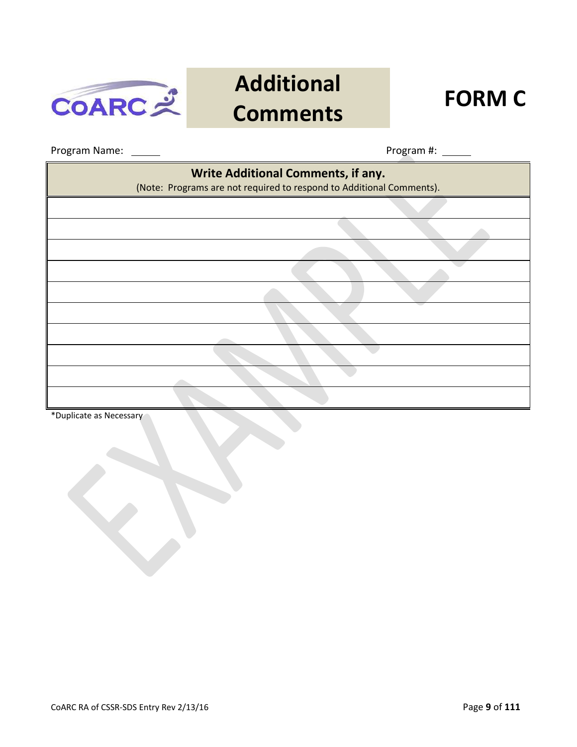

## **Additional Comments FORM C**



 $\overline{\phantom{0}}$ 

Program Name: Program #:

 $\blacksquare$ 

| <b>Write Additional Comments, if any.</b><br>(Note: Programs are not required to respond to Additional Comments). |  |  |  |  |
|-------------------------------------------------------------------------------------------------------------------|--|--|--|--|
|                                                                                                                   |  |  |  |  |
|                                                                                                                   |  |  |  |  |
|                                                                                                                   |  |  |  |  |
|                                                                                                                   |  |  |  |  |
|                                                                                                                   |  |  |  |  |
|                                                                                                                   |  |  |  |  |
|                                                                                                                   |  |  |  |  |
|                                                                                                                   |  |  |  |  |
|                                                                                                                   |  |  |  |  |
|                                                                                                                   |  |  |  |  |

\*Duplicate as Necessary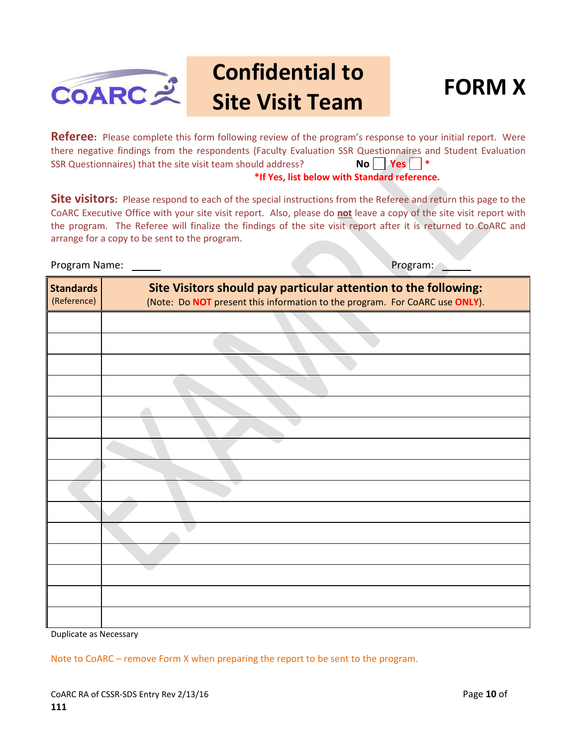

#### **Confidential to Site Visit Team FORM X**



Referee: Please complete this form following review of the program's response to your initial report. Were there negative findings from the respondents (Faculty Evaluation SSR Questionnaires and Student Evaluation SSR Questionnaires) that the site visit team should address? **No Yes \* No** Yes \*\* **\*If Yes, list below with Standard reference.**

**Site visitors:** Please respond to each of the special instructions from the Referee and return this page to the CoARC Executive Office with your site visit report. Also, please do **not** leave a copy of the site visit report with the program. The Referee will finalize the findings of the site visit report after it is returned to CoARC and arrange for a copy to be sent to the program.

Program Name: Name: Program: Name: Program: Name: Program: Name: Program: Name: Name: Name: Name: Name: Name: Name: Name: Name: Name: Name: Name: Name: Name: Name: Name: Name: Name: Name: Name: Name: Name: Name: Name: Name

| <b>Standards</b><br>(Reference) | Site Visitors should pay particular attention to the following:<br>(Note: Do NOT present this information to the program. For CoARC use ONLY). |
|---------------------------------|------------------------------------------------------------------------------------------------------------------------------------------------|
|                                 |                                                                                                                                                |
|                                 |                                                                                                                                                |
|                                 |                                                                                                                                                |
|                                 |                                                                                                                                                |
|                                 |                                                                                                                                                |
|                                 |                                                                                                                                                |
|                                 |                                                                                                                                                |
|                                 |                                                                                                                                                |
|                                 |                                                                                                                                                |
|                                 |                                                                                                                                                |
|                                 |                                                                                                                                                |
|                                 |                                                                                                                                                |
|                                 |                                                                                                                                                |
|                                 |                                                                                                                                                |
|                                 |                                                                                                                                                |

Duplicate as Necessary

Note to CoARC – remove Form X when preparing the report to be sent to the program.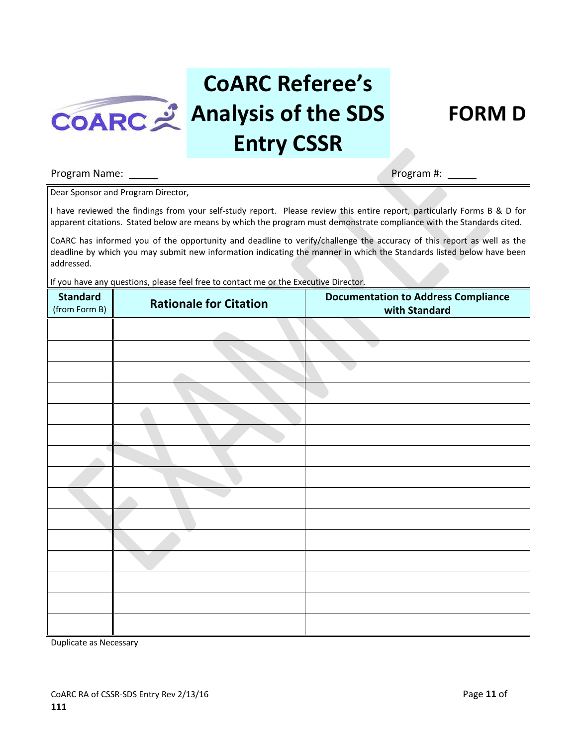

## **CoARC Referee's Analysis of the SDS Entry CSSR**



#### Program Name: Program #:

Dear Sponsor and Program Director,

I have reviewed the findings from your self-study report. Please review this entire report, particularly Forms B & D for apparent citations. Stated below are means by which the program must demonstrate compliance with the Standards cited.

CoARC has informed you of the opportunity and deadline to verify/challenge the accuracy of this report as well as the deadline by which you may submit new information indicating the manner in which the Standards listed below have been addressed.

If you have any questions, please feel free to contact me or the Executive Director.

| <b>Standard</b><br>(from Form B) | <b>Rationale for Citation</b> | <b>Documentation to Address Compliance</b><br>with Standard |
|----------------------------------|-------------------------------|-------------------------------------------------------------|
|                                  |                               |                                                             |
|                                  |                               |                                                             |
|                                  |                               |                                                             |
|                                  |                               |                                                             |
|                                  |                               |                                                             |
|                                  |                               |                                                             |
|                                  |                               |                                                             |
|                                  |                               |                                                             |
|                                  |                               |                                                             |
|                                  |                               |                                                             |
|                                  |                               |                                                             |
|                                  |                               |                                                             |
|                                  |                               |                                                             |
|                                  |                               |                                                             |
|                                  |                               |                                                             |

Duplicate as Necessary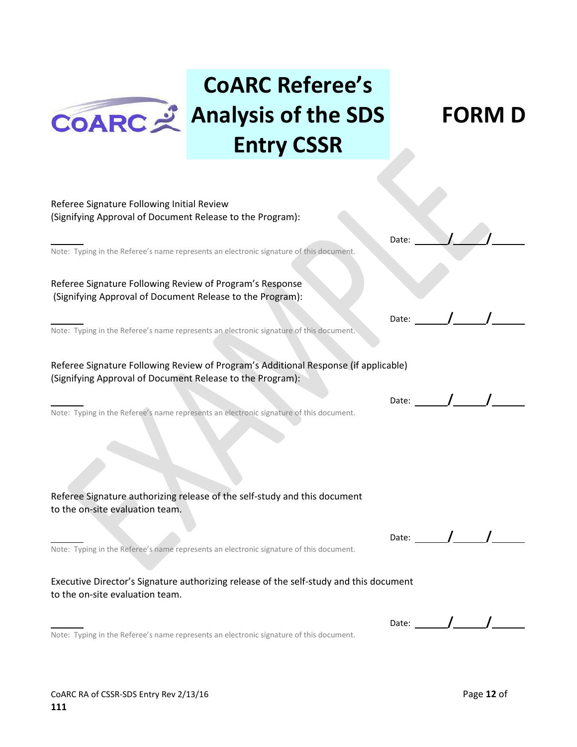

## **CoARC Referee's COARC** 2 Analysis of the SDS **Entry CSSR**

**FORM D**

| Referee Signature Following Initial Review<br>(Signifying Approval of Document Release to the Program):                                          |       |                                                                                                                                                                                                                                                                                                                                                                                                                          |  |
|--------------------------------------------------------------------------------------------------------------------------------------------------|-------|--------------------------------------------------------------------------------------------------------------------------------------------------------------------------------------------------------------------------------------------------------------------------------------------------------------------------------------------------------------------------------------------------------------------------|--|
|                                                                                                                                                  |       |                                                                                                                                                                                                                                                                                                                                                                                                                          |  |
| Note: Typing in the Referee's name represents an electronic signature of this document.                                                          | Date: |                                                                                                                                                                                                                                                                                                                                                                                                                          |  |
| Referee Signature Following Review of Program's Response<br>(Signifying Approval of Document Release to the Program):                            |       |                                                                                                                                                                                                                                                                                                                                                                                                                          |  |
| Note: Typing in the Referee's name represents an electronic signature of this document.                                                          | Date: |                                                                                                                                                                                                                                                                                                                                                                                                                          |  |
| Referee Signature Following Review of Program's Additional Response (if applicable)<br>(Signifying Approval of Document Release to the Program): |       |                                                                                                                                                                                                                                                                                                                                                                                                                          |  |
| Note: Typing in the Referee's name represents an electronic signature of this document.                                                          |       | Date: $\frac{1}{\sqrt{1-\frac{1}{2}}}\frac{1}{\sqrt{1-\frac{1}{2}}}\frac{1}{\sqrt{1-\frac{1}{2}}}\frac{1}{\sqrt{1-\frac{1}{2}}}\frac{1}{\sqrt{1-\frac{1}{2}}}\frac{1}{\sqrt{1-\frac{1}{2}}}\frac{1}{\sqrt{1-\frac{1}{2}}}\frac{1}{\sqrt{1-\frac{1}{2}}}\frac{1}{\sqrt{1-\frac{1}{2}}}\frac{1}{\sqrt{1-\frac{1}{2}}}\frac{1}{\sqrt{1-\frac{1}{2}}}\frac{1}{\sqrt{1-\frac{1}{2}}}\frac{1}{\sqrt{1-\frac{1}{2}}}\frac{1}{\$ |  |
|                                                                                                                                                  |       |                                                                                                                                                                                                                                                                                                                                                                                                                          |  |
| Referee Signature authorizing release of the self-study and this document<br>to the on-site evaluation team.                                     |       |                                                                                                                                                                                                                                                                                                                                                                                                                          |  |
| Note: Typing in the Referee's name represents an electronic signature of this document.                                                          |       | Date: $\sqrt{1-\sqrt{1-\frac{1}{2}}\sqrt{1-\frac{1}{2}}\sqrt{1-\frac{1}{2}}\sqrt{1-\frac{1}{2}}\sqrt{1-\frac{1}{2}}\sqrt{1-\frac{1}{2}}\sqrt{1-\frac{1}{2}}\sqrt{1-\frac{1}{2}}\sqrt{1-\frac{1}{2}}\sqrt{1-\frac{1}{2}}\sqrt{1-\frac{1}{2}}\sqrt{1-\frac{1}{2}}\sqrt{1-\frac{1}{2}}\sqrt{1-\frac{1}{2}}\sqrt{1-\frac{1}{2}}\sqrt{1-\frac{1}{2}}\sqrt{1-\frac{1}{2}}\sqrt{1-\frac{1}{2}}\sqrt{1-\frac{1}{2}}\$            |  |
| Executive Director's Signature authorizing release of the self-study and this document<br>to the on-site evaluation team.                        |       |                                                                                                                                                                                                                                                                                                                                                                                                                          |  |
| Note: Typing in the Referee's name represents an electronic signature of this document.                                                          | Date: |                                                                                                                                                                                                                                                                                                                                                                                                                          |  |